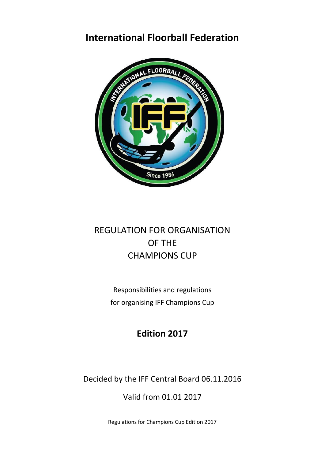## **International Floorball Federation**



# REGULATION FOR ORGANISATION OF THE CHAMPIONS CUP

Responsibilities and regulations for organising IFF Champions Cup

## **Edition 2017**

Decided by the IFF Central Board 06.11.2016

Valid from 01.01 2017

Regulations for Champions Cup Edition 2017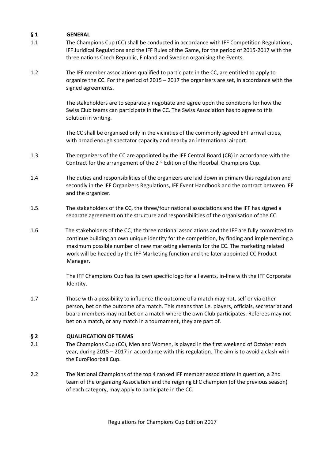## **§ 1 GENERAL**

- 1.1 The Champions Cup (CC) shall be conducted in accordance with IFF Competition Regulations, IFF Juridical Regulations and the IFF Rules of the Game, for the period of 2015-2017 with the three nations Czech Republic, Finland and Sweden organising the Events.
- 1.2 The IFF member associations qualified to participate in the CC, are entitled to apply to organize the CC. For the period of 2015 – 2017 the organisers are set, in accordance with the signed agreements.

The stakeholders are to separately negotiate and agree upon the conditions for how the Swiss Club teams can participate in the CC. The Swiss Association has to agree to this solution in writing.

The CC shall be organised only in the vicinities of the commonly agreed EFT arrival cities, with broad enough spectator capacity and nearby an international airport.

- 1.3 The organizers of the CC are appointed by the IFF Central Board (CB) in accordance with the Contract for the arrangement of the 2<sup>nd</sup> Edition of the Floorball Champions Cup.
- 1.4 The duties and responsibilities of the organizers are laid down in primary this regulation and secondly in the IFF Organizers Regulations, IFF Event Handbook and the contract between IFF and the organizer.
- 1.5. The stakeholders of the CC, the three/four national associations and the IFF has signed a separate agreement on the structure and responsibilities of the organisation of the CC
- 1.6. The stakeholders of the CC, the three national associations and the IFF are fully committed to continue building an own unique identity for the competition, by finding and implementing a maximum possible number of new marketing elements for the CC. The marketing related work will be headed by the IFF Marketing function and the later appointed CC Product Manager.

The IFF Champions Cup has its own specific logo for all events, in-line with the IFF Corporate Identity.

1.7 Those with a possibility to influence the outcome of a match may not, self or via other person, bet on the outcome of a match. This means that i.e. players, officials, secretariat and board members may not bet on a match where the own Club participates. Referees may not bet on a match, or any match in a tournament, they are part of.

#### **§ 2 QUALIFICATION OF TEAMS**

- 2.1 The Champions Cup (CC), Men and Women, is played in the first weekend of October each year, during 2015 – 2017 in accordance with this regulation. The aim is to avoid a clash with the EuroFloorball Cup.
- 2.2 The National Champions of the top 4 ranked IFF member associations in question, a 2nd team of the organizing Association and the reigning EFC champion (of the previous season) of each category, may apply to participate in the CC.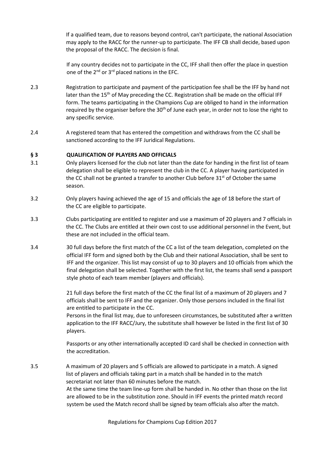If a qualified team, due to reasons beyond control, can't participate, the national Association may apply to the RACC for the runner-up to participate. The IFF CB shall decide, based upon the proposal of the RACC. The decision is final.

If any country decides not to participate in the CC, IFF shall then offer the place in question one of the 2nd or 3rd placed nations in the EFC.

- 2.3 Registration to participate and payment of the participation fee shall be the IFF by hand not later than the  $15<sup>th</sup>$  of May preceding the CC. Registration shall be made on the official IFF form. The teams participating in the Champions Cup are obliged to hand in the information required by the organiser before the 30<sup>th</sup> of June each year, in order not to lose the right to any specific service.
- 2.4 A registered team that has entered the competition and withdraws from the CC shall be sanctioned according to the IFF Juridical Regulations.

### **§ 3 QUALIFICATION OF PLAYERS AND OFFICIALS**

- 3.1 Only players licensed for the club not later than the date for handing in the first list of team delegation shall be eligible to represent the club in the CC. A player having participated in the CC shall not be granted a transfer to another Club before  $31<sup>st</sup>$  of October the same season.
- 3.2 Only players having achieved the age of 15 and officials the age of 18 before the start of the CC are eligible to participate.
- 3.3 Clubs participating are entitled to register and use a maximum of 20 players and 7 officials in the CC. The Clubs are entitled at their own cost to use additional personnel in the Event, but these are not included in the official team.
- 3.4 30 full days before the first match of the CC a list of the team delegation, completed on the official IFF form and signed both by the Club and their national Association, shall be sent to IFF and the organizer. This list may consist of up to 30 players and 10 officials from which the final delegation shall be selected. Together with the first list, the teams shall send a passport style photo of each team member (players and officials).

21 full days before the first match of the CC the final list of a maximum of 20 players and 7 officials shall be sent to IFF and the organizer. Only those persons included in the final list are entitled to participate in the CC.

Persons in the final list may, due to unforeseen circumstances, be substituted after a written application to the IFF RACC/Jury, the substitute shall however be listed in the first list of 30 players.

Passports or any other internationally accepted ID card shall be checked in connection with the accreditation.

3.5 A maximum of 20 players and 5 officials are allowed to participate in a match. A signed list of players and officials taking part in a match shall be handed in to the match secretariat not later than 60 minutes before the match. At the same time the team line-up form shall be handed in. No other than those on the list are allowed to be in the substitution zone. Should in IFF events the printed match record system be used the Match record shall be signed by team officials also after the match.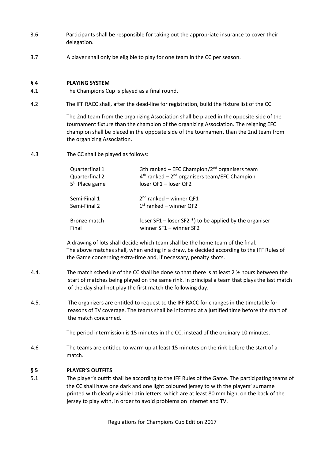- 3.6 Participants shall be responsible for taking out the appropriate insurance to cover their delegation.
- 3.7 A player shall only be eligible to play for one team in the CC per season.

### **§ 4 PLAYING SYSTEM**

- 4.1 The Champions Cup is played as a final round.
- 4.2 The IFF RACC shall, after the dead-line for registration, build the fixture list of the CC.

The 2nd team from the organizing Association shall be placed in the opposite side of the tournament fixture than the champion of the organizing Association. The reigning EFC champion shall be placed in the opposite side of the tournament than the 2nd team from the organizing Association.

4.3 The CC shall be played as follows:

| Quarterfinal 1             | 3th ranked - EFC Champion/2 <sup>nd</sup> organisers team   |
|----------------------------|-------------------------------------------------------------|
| Quarterfinal 2             | $4th$ ranked – $2nd$ organisers team/EFC Champion           |
| 5 <sup>th</sup> Place game | loser QF1 - loser QF2                                       |
| Semi-Final 1               | $2nd$ ranked – winner QF1                                   |
| Semi-Final 2               | $1st$ ranked – winner QF2                                   |
| Bronze match               | loser $SF1 - Ioser$ SF2 $*)$ to be applied by the organiser |
| Final                      | winner $SF1 -$ winner $SF2$                                 |

 A drawing of lots shall decide which team shall be the home team of the final. The above matches shall, when ending in a draw, be decided according to the IFF Rules of the Game concerning extra-time and, if necessary, penalty shots.

- 4.4. The match schedule of the CC shall be done so that there is at least 2 ½ hours between the start of matches being played on the same rink. In principal a team that plays the last match of the day shall not play the first match the following day.
- 4.5. The organizers are entitled to request to the IFF RACC for changes in the timetable for reasons of TV coverage. The teams shall be informed at a justified time before the start of the match concerned.

The period intermission is 15 minutes in the CC, instead of the ordinary 10 minutes.

4.6 The teams are entitled to warm up at least 15 minutes on the rink before the start of a match.

#### **§ 5 PLAYER'S OUTFITS**

5.1 The player's outfit shall be according to the IFF Rules of the Game. The participating teams of the CC shall have one dark and one light coloured jersey to with the players' surname printed with clearly visible Latin letters, which are at least 80 mm high, on the back of the jersey to play with, in order to avoid problems on internet and TV.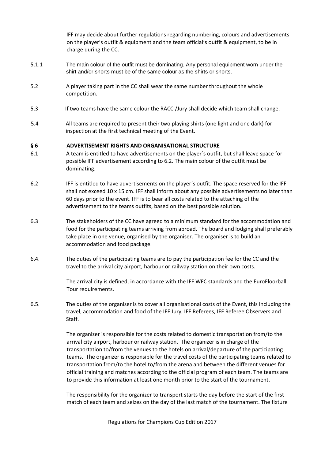IFF may decide about further regulations regarding numbering, colours and advertisements on the player's outfit & equipment and the team official's outfit & equipment, to be in charge during the CC.

- 5.1.1 The main colour of the outfit must be dominating. Any personal equipment worn under the shirt and/or shorts must be of the same colour as the shirts or shorts.
- 5.2 A player taking part in the CC shall wear the same number throughout the whole competition.
- 5.3 If two teams have the same colour the RACC /Jury shall decide which team shall change.
- 5.4 All teams are required to present their two playing shirts (one light and one dark) for inspection at the first technical meeting of the Event.

#### **§ 6 ADVERTISEMENT RIGHTS AND ORGANISATIONAL STRUCTURE**

- 6.1 A team is entitled to have advertisements on the player´s outfit, but shall leave space for possible IFF advertisement according to 6.2. The main colour of the outfit must be dominating.
- 6.2 IFF is entitled to have advertisements on the player´s outfit. The space reserved for the IFF shall not exceed 10 x 15 cm. IFF shall inform about any possible advertisements no later than 60 days prior to the event. IFF is to bear all costs related to the attaching of the advertisement to the teams outfits, based on the best possible solution.
- 6.3 The stakeholders of the CC have agreed to a minimum standard for the accommodation and food for the participating teams arriving from abroad. The board and lodging shall preferably take place in one venue, organised by the organiser. The organiser is to build an accommodation and food package.
- 6.4. The duties of the participating teams are to pay the participation fee for the CC and the travel to the arrival city airport, harbour or railway station on their own costs.

The arrival city is defined, in accordance with the IFF WFC standards and the EuroFloorball Tour requirements.

6.5. The duties of the organiser is to cover all organisational costs of the Event, this including the travel, accommodation and food of the IFF Jury, IFF Referees, IFF Referee Observers and Staff.

> The organizer is responsible for the costs related to domestic transportation from/to the arrival city airport, harbour or railway station. The organizer is in charge of the transportation to/from the venues to the hotels on arrival/departure of the participating teams. The organizer is responsible for the travel costs of the participating teams related to transportation from/to the hotel to/from the arena and between the different venues for official training and matches according to the official program of each team. The teams are to provide this information at least one month prior to the start of the tournament.

The responsibility for the organizer to transport starts the day before the start of the first match of each team and seizes on the day of the last match of the tournament. The fixture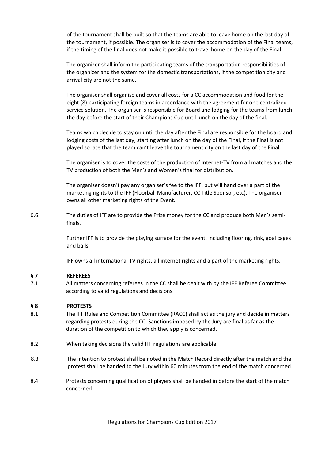of the tournament shall be built so that the teams are able to leave home on the last day of the tournament, if possible. The organiser is to cover the accommodation of the Final teams, if the timing of the final does not make it possible to travel home on the day of the Final.

The organizer shall inform the participating teams of the transportation responsibilities of the organizer and the system for the domestic transportations, if the competition city and arrival city are not the same.

The organiser shall organise and cover all costs for a CC accommodation and food for the eight (8) participating foreign teams in accordance with the agreement for one centralized service solution. The organiser is responsible for Board and lodging for the teams from lunch the day before the start of their Champions Cup until lunch on the day of the final.

Teams which decide to stay on until the day after the Final are responsible for the board and lodging costs of the last day, starting after lunch on the day of the Final, if the Final is not played so late that the team can't leave the tournament city on the last day of the Final.

The organiser is to cover the costs of the production of Internet-TV from all matches and the TV production of both the Men's and Women's final for distribution.

The organiser doesn't pay any organiser's fee to the IFF, but will hand over a part of the marketing rights to the IFF (Floorball Manufacturer, CC Title Sponsor, etc). The organiser owns all other marketing rights of the Event.

6.6. The duties of IFF are to provide the Prize money for the CC and produce both Men's semifinals.

> Further IFF is to provide the playing surface for the event, including flooring, rink, goal cages and balls.

IFF owns all international TV rights, all internet rights and a part of the marketing rights.

## **§ 7 REFEREES**

7.1 All matters concerning referees in the CC shall be dealt with by the IFF Referee Committee according to valid regulations and decisions.

## **§ 8 PROTESTS**

- 8.1 The IFF Rules and Competition Committee (RACC) shall act as the jury and decide in matters regarding protests during the CC. Sanctions imposed by the Jury are final as far as the duration of the competition to which they apply is concerned.
- 8.2 When taking decisions the valid IFF regulations are applicable.
- 8.3 The intention to protest shall be noted in the Match Record directly after the match and the protest shall be handed to the Jury within 60 minutes from the end of the match concerned.
- 8.4 Protests concerning qualification of players shall be handed in before the start of the match concerned.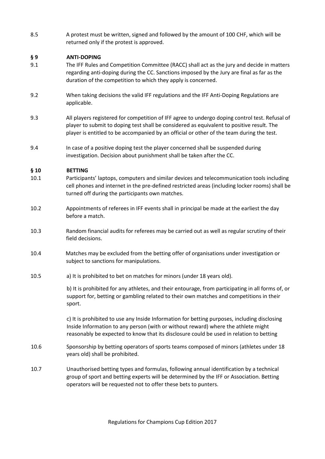8.5 A protest must be written, signed and followed by the amount of 100 CHF, which will be returned only if the protest is approved.

## **§ 9 ANTI-DOPING**

- 9.1 The IFF Rules and Competition Committee (RACC) shall act as the jury and decide in matters regarding anti-doping during the CC. Sanctions imposed by the Jury are final as far as the duration of the competition to which they apply is concerned.
- 9.2 When taking decisions the valid IFF regulations and the IFF Anti-Doping Regulations are applicable.
- 9.3 All players registered for competition of IFF agree to undergo doping control test. Refusal of player to submit to doping test shall be considered as equivalent to positive result. The player is entitled to be accompanied by an official or other of the team during the test.
- 9.4 In case of a positive doping test the player concerned shall be suspended during investigation. Decision about punishment shall be taken after the CC.

### **§ 10 BETTING**

- 10.1 Participants' laptops, computers and similar devices and telecommunication tools including cell phones and internet in the pre-defined restricted areas (including locker rooms) shall be turned off during the participants own matches.
- 10.2 Appointments of referees in IFF events shall in principal be made at the earliest the day before a match.
- 10.3 Random financial audits for referees may be carried out as well as regular scrutiny of their field decisions.
- 10.4 Matches may be excluded from the betting offer of organisations under investigation or subject to sanctions for manipulations.
- 10.5 a) It is prohibited to bet on matches for minors (under 18 years old).

b) It is prohibited for any athletes, and their entourage, from participating in all forms of, or support for, betting or gambling related to their own matches and competitions in their sport.

c) It is prohibited to use any Inside Information for betting purposes, including disclosing Inside Information to any person (with or without reward) where the athlete might reasonably be expected to know that its disclosure could be used in relation to betting

- 10.6 Sponsorship by betting operators of sports teams composed of minors (athletes under 18 years old) shall be prohibited.
- 10.7 Unauthorised betting types and formulas, following annual identification by a technical group of sport and betting experts will be determined by the IFF or Association. Betting operators will be requested not to offer these bets to punters.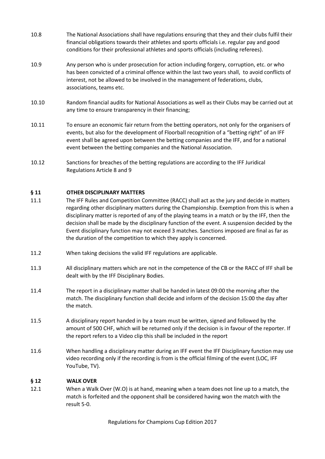- 10.8 The National Associations shall have regulations ensuring that they and their clubs fulfil their financial obligations towards their athletes and sports officials i.e. regular pay and good conditions for their professional athletes and sports officials (including referees).
- 10.9 Any person who is under prosecution for action including forgery, corruption, etc. or who has been convicted of a criminal offence within the last two years shall, to avoid conflicts of interest, not be allowed to be involved in the management of federations, clubs, associations, teams etc.
- 10.10 Random financial audits for National Associations as well as their Clubs may be carried out at any time to ensure transparency in their financing;
- 10.11 To ensure an economic fair return from the betting operators, not only for the organisers of events, but also for the development of Floorball recognition of a "betting right" of an IFF event shall be agreed upon between the betting companies and the IFF, and for a national event between the betting companies and the National Association.
- 10.12 Sanctions for breaches of the betting regulations are according to the IFF Juridical Regulations Article 8 and 9

### **§ 11 OTHER DISCIPLINARY MATTERS**

- 11.1 The IFF Rules and Competition Committee (RACC) shall act as the jury and decide in matters regarding other disciplinary matters during the Championship. Exemption from this is when a disciplinary matter is reported of any of the playing teams in a match or by the IFF, then the decision shall be made by the disciplinary function of the event. A suspension decided by the Event disciplinary function may not exceed 3 matches. Sanctions imposed are final as far as the duration of the competition to which they apply is concerned.
- 11.2 When taking decisions the valid IFF regulations are applicable.
- 11.3 All disciplinary matters which are not in the competence of the CB or the RACC of IFF shall be dealt with by the IFF Disciplinary Bodies.
- 11.4 The report in a disciplinary matter shall be handed in latest 09:00 the morning after the match. The disciplinary function shall decide and inform of the decision 15:00 the day after the match.
- 11.5 A disciplinary report handed in by a team must be written, signed and followed by the amount of 500 CHF, which will be returned only if the decision is in favour of the reporter. If the report refers to a Video clip this shall be included in the report
- 11.6 When handling a disciplinary matter during an IFF event the IFF Disciplinary function may use video recording only if the recording is from is the official filming of the event (LOC, IFF YouTube, TV).

#### **§ 12 WALK OVER**

12.1 When a Walk Over (W.O) is at hand, meaning when a team does not line up to a match, the match is forfeited and the opponent shall be considered having won the match with the result 5-0.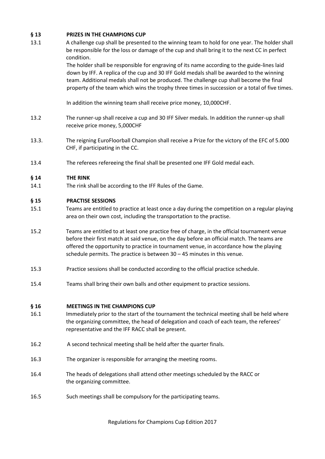## **§ 13 PRIZES IN THE CHAMPIONS CUP**

13.1 A challenge cup shall be presented to the winning team to hold for one year. The holder shall be responsible for the loss or damage of the cup and shall bring it to the next CC in perfect condition.

> The holder shall be responsible for engraving of its name according to the guide-lines laid down by IFF. A replica of the cup and 30 IFF Gold medals shall be awarded to the winning team. Additional medals shall not be produced. The challenge cup shall become the final property of the team which wins the trophy three times in succession or a total of five times.

In addition the winning team shall receive price money, 10,000CHF.

- 13.2 The runner-up shall receive a cup and 30 IFF Silver medals. In addition the runner-up shall receive price money, 5,000CHF
- 13.3. The reigning EuroFloorball Champion shall receive a Prize for the victory of the EFC of 5.000 CHF, if participating in the CC.
- 13.4 The referees refereeing the final shall be presented one IFF Gold medal each.

#### **§ 14 THE RINK**

14.1 The rink shall be according to the IFF Rules of the Game.

#### **§ 15 PRACTISE SESSIONS**

- 15.1 Teams are entitled to practice at least once a day during the competition on a regular playing area on their own cost, including the transportation to the practise.
- 15.2 Teams are entitled to at least one practice free of charge, in the official tournament venue before their first match at said venue, on the day before an official match. The teams are offered the opportunity to practice in tournament venue, in accordance how the playing schedule permits. The practice is between 30 – 45 minutes in this venue.
- 15.3 Practice sessions shall be conducted according to the official practice schedule.
- 15.4 Teams shall bring their own balls and other equipment to practice sessions.

#### **§ 16 MEETINGS IN THE CHAMPIONS CUP**

- 16.1 Immediately prior to the start of the tournament the technical meeting shall be held where the organizing committee, the head of delegation and coach of each team, the referees' representative and the IFF RACC shall be present.
- 16.2 A second technical meeting shall be held after the quarter finals.
- 16.3 The organizer is responsible for arranging the meeting rooms.
- 16.4 The heads of delegations shall attend other meetings scheduled by the RACC or the organizing committee.
- 16.5 Such meetings shall be compulsory for the participating teams.